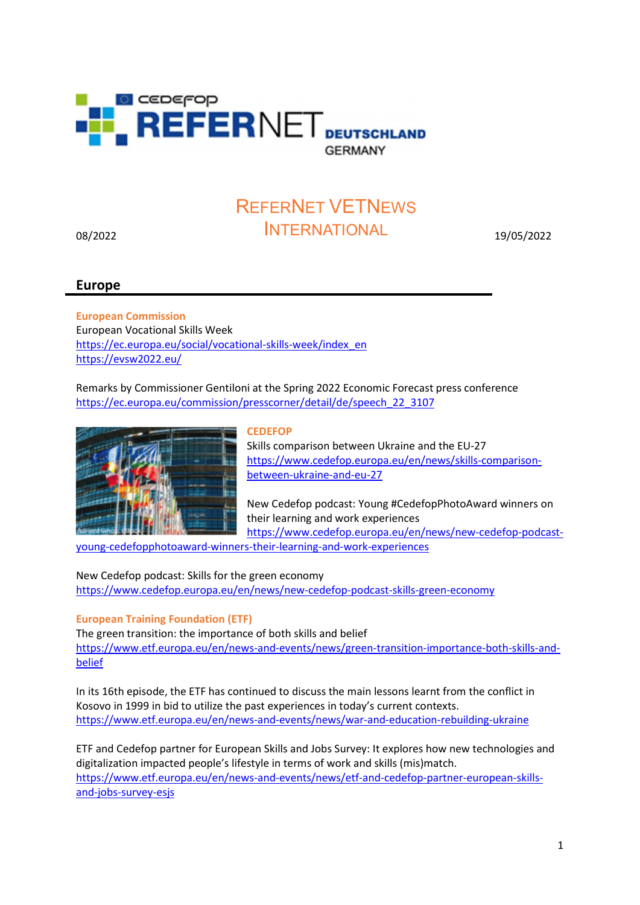

# 08/2022 19/05/2022 INTERNATIONALREFERNET VETNEWS

## Europe

European Commission European Vocational Skills Week https://ec.europa.eu/social/vocational-skills-week/index\_en https://evsw2022.eu/

Remarks by Commissioner Gentiloni at the Spring 2022 Economic Forecast press conference https://ec.europa.eu/commission/presscorner/detail/de/speech\_22\_3107



#### **CEDEFOP**

Skills comparison between Ukraine and the EU-27 https://www.cedefop.europa.eu/en/news/skills-comparisonbetween-ukraine-and-eu-27

New Cedefop podcast: Young #CedefopPhotoAward winners on their learning and work experiences https://www.cedefop.europa.eu/en/news/new-cedefop-podcast-

young-cedefopphotoaward-winners-their-learning-and-work-experiences

New Cedefop podcast: Skills for the green economy https://www.cedefop.europa.eu/en/news/new-cedefop-podcast-skills-green-economy

European Training Foundation (ETF)

The green transition: the importance of both skills and belief https://www.etf.europa.eu/en/news-and-events/news/green-transition-importance-both-skills-andbelief

In its 16th episode, the ETF has continued to discuss the main lessons learnt from the conflict in Kosovo in 1999 in bid to utilize the past experiences in today's current contexts. https://www.etf.europa.eu/en/news-and-events/news/war-and-education-rebuilding-ukraine

ETF and Cedefop partner for European Skills and Jobs Survey: It explores how new technologies and digitalization impacted people's lifestyle in terms of work and skills (mis)match. https://www.etf.europa.eu/en/news-and-events/news/etf-and-cedefop-partner-european-skillsand-jobs-survey-esjs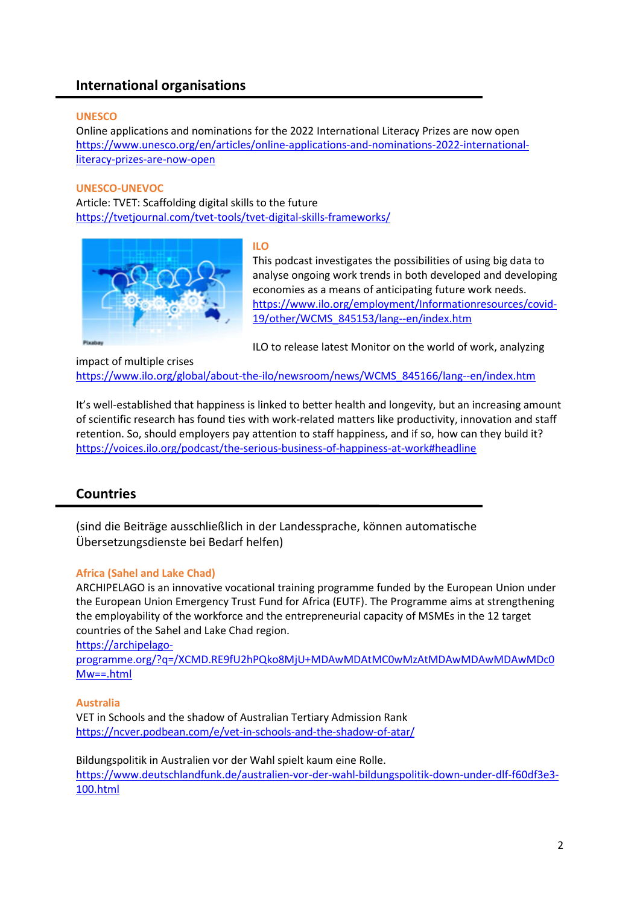# International organisations

#### **UNESCO**

Online applications and nominations for the 2022 International Literacy Prizes are now open https://www.unesco.org/en/articles/online-applications-and-nominations-2022-internationalliteracy-prizes-are-now-open

#### UNESCO-UNEVOC

Article: TVET: Scaffolding digital skills to the future https://tvetjournal.com/tvet-tools/tvet-digital-skills-frameworks/



#### ILO

This podcast investigates the possibilities of using big data to analyse ongoing work trends in both developed and developing economies as a means of anticipating future work needs. https://www.ilo.org/employment/Informationresources/covid-19/other/WCMS\_845153/lang--en/index.htm

ILO to release latest Monitor on the world of work, analyzing

impact of multiple crises https://www.ilo.org/global/about-the-ilo/newsroom/news/WCMS\_845166/lang--en/index.htm

It's well-established that happiness is linked to better health and longevity, but an increasing amount of scientific research has found ties with work-related matters like productivity, innovation and staff retention. So, should employers pay attention to staff happiness, and if so, how can they build it? https://voices.ilo.org/podcast/the-serious-business-of-happiness-at-work#headline

## Countries

(sind die Beiträge ausschließlich in der Landessprache, können automatische Übersetzungsdienste bei Bedarf helfen)

#### Africa (Sahel and Lake Chad)

ARCHIPELAGO is an innovative vocational training programme funded by the European Union under the European Union Emergency Trust Fund for Africa (EUTF). The Programme aims at strengthening the employability of the workforce and the entrepreneurial capacity of MSMEs in the 12 target countries of the Sahel and Lake Chad region.

https://archipelago-

programme.org/?q=/XCMD.RE9fU2hPQko8MjU+MDAwMDAtMC0wMzAtMDAwMDAwMDAwMDc0 Mw==.html

#### Australia

VET in Schools and the shadow of Australian Tertiary Admission Rank https://ncver.podbean.com/e/vet-in-schools-and-the-shadow-of-atar/

Bildungspolitik in Australien vor der Wahl spielt kaum eine Rolle. https://www.deutschlandfunk.de/australien-vor-der-wahl-bildungspolitik-down-under-dlf-f60df3e3- 100.html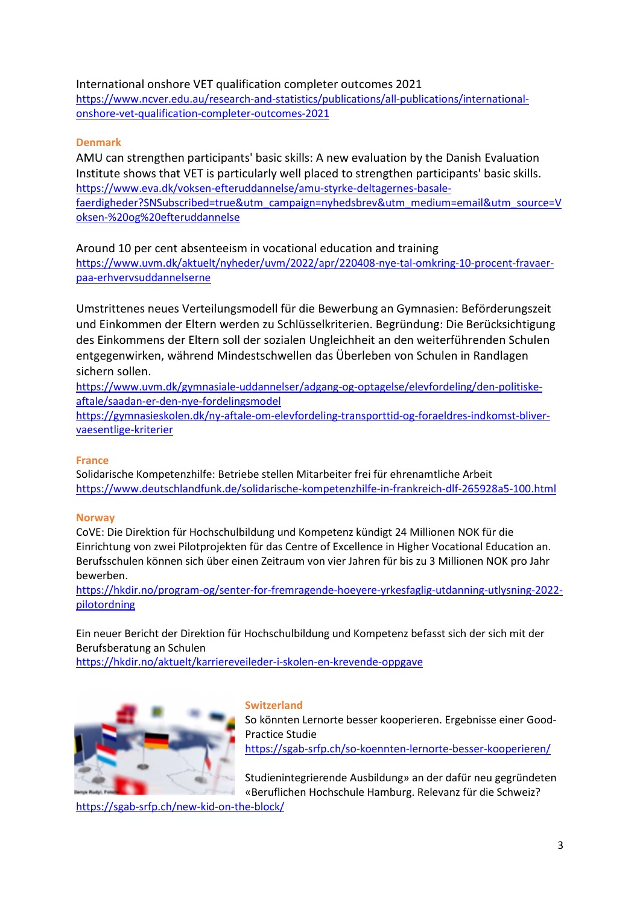## International onshore VET qualification completer outcomes 2021

https://www.ncver.edu.au/research-and-statistics/publications/all-publications/internationalonshore-vet-qualification-completer-outcomes-2021

### Denmark

AMU can strengthen participants' basic skills: A new evaluation by the Danish Evaluation Institute shows that VET is particularly well placed to strengthen participants' basic skills. https://www.eva.dk/voksen-efteruddannelse/amu-styrke-deltagernes-basalefaerdigheder?SNSubscribed=true&utm\_campaign=nyhedsbrev&utm\_medium=email&utm\_source=V oksen-%20og%20efteruddannelse

Around 10 per cent absenteeism in vocational education and training https://www.uvm.dk/aktuelt/nyheder/uvm/2022/apr/220408-nye-tal-omkring-10-procent-fravaerpaa-erhvervsuddannelserne

Umstrittenes neues Verteilungsmodell für die Bewerbung an Gymnasien: Beförderungszeit und Einkommen der Eltern werden zu Schlüsselkriterien. Begründung: Die Berücksichtigung des Einkommens der Eltern soll der sozialen Ungleichheit an den weiterführenden Schulen entgegenwirken, während Mindestschwellen das Überleben von Schulen in Randlagen sichern sollen.

https://www.uvm.dk/gymnasiale-uddannelser/adgang-og-optagelse/elevfordeling/den-politiskeaftale/saadan-er-den-nye-fordelingsmodel

https://gymnasieskolen.dk/ny-aftale-om-elevfordeling-transporttid-og-foraeldres-indkomst-blivervaesentlige-kriterier

#### France

Solidarische Kompetenzhilfe: Betriebe stellen Mitarbeiter frei für ehrenamtliche Arbeit https://www.deutschlandfunk.de/solidarische-kompetenzhilfe-in-frankreich-dlf-265928a5-100.html

#### **Norway**

CoVE: Die Direktion für Hochschulbildung und Kompetenz kündigt 24 Millionen NOK für die Einrichtung von zwei Pilotprojekten für das Centre of Excellence in Higher Vocational Education an. Berufsschulen können sich über einen Zeitraum von vier Jahren für bis zu 3 Millionen NOK pro Jahr bewerben.

https://hkdir.no/program-og/senter-for-fremragende-hoeyere-yrkesfaglig-utdanning-utlysning-2022 pilotordning

Ein neuer Bericht der Direktion für Hochschulbildung und Kompetenz befasst sich der sich mit der Berufsberatung an Schulen

https://hkdir.no/aktuelt/karriereveileder-i-skolen-en-krevende-oppgave



#### **Switzerland**

So könnten Lernorte besser kooperieren. Ergebnisse einer Good-Practice Studie https://sgab-srfp.ch/so-koennten-lernorte-besser-kooperieren/

Studienintegrierende Ausbildung» an der dafür neu gegründeten «Beruflichen Hochschule Hamburg. Relevanz für die Schweiz?

https://sgab-srfp.ch/new-kid-on-the-block/